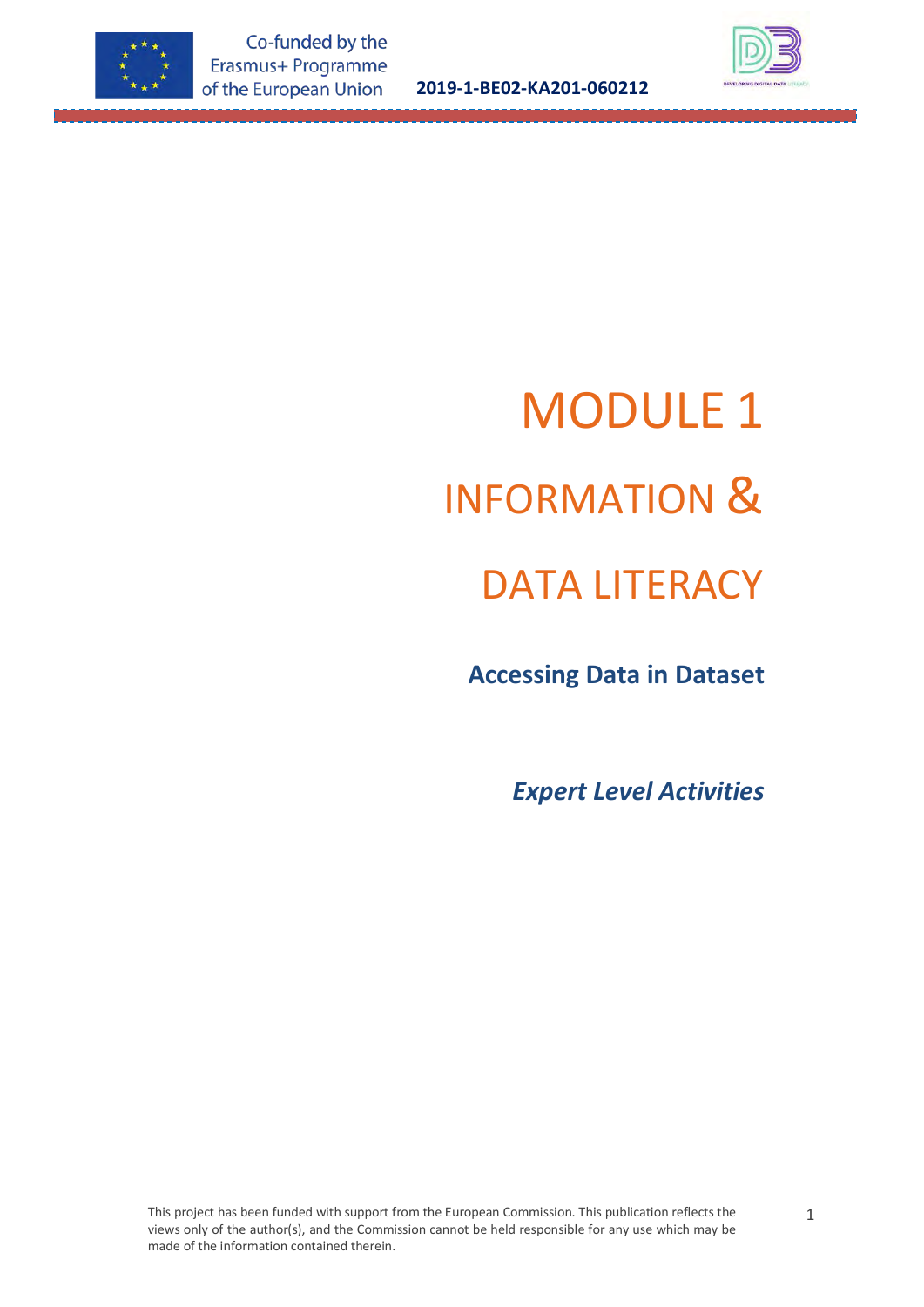

**2019-1-BE02-KA201-060212**



# MODULE 1 INFORMATION &

## DATA LITERACY

 **Accessing Data in Dataset**

*Expert Level Activities*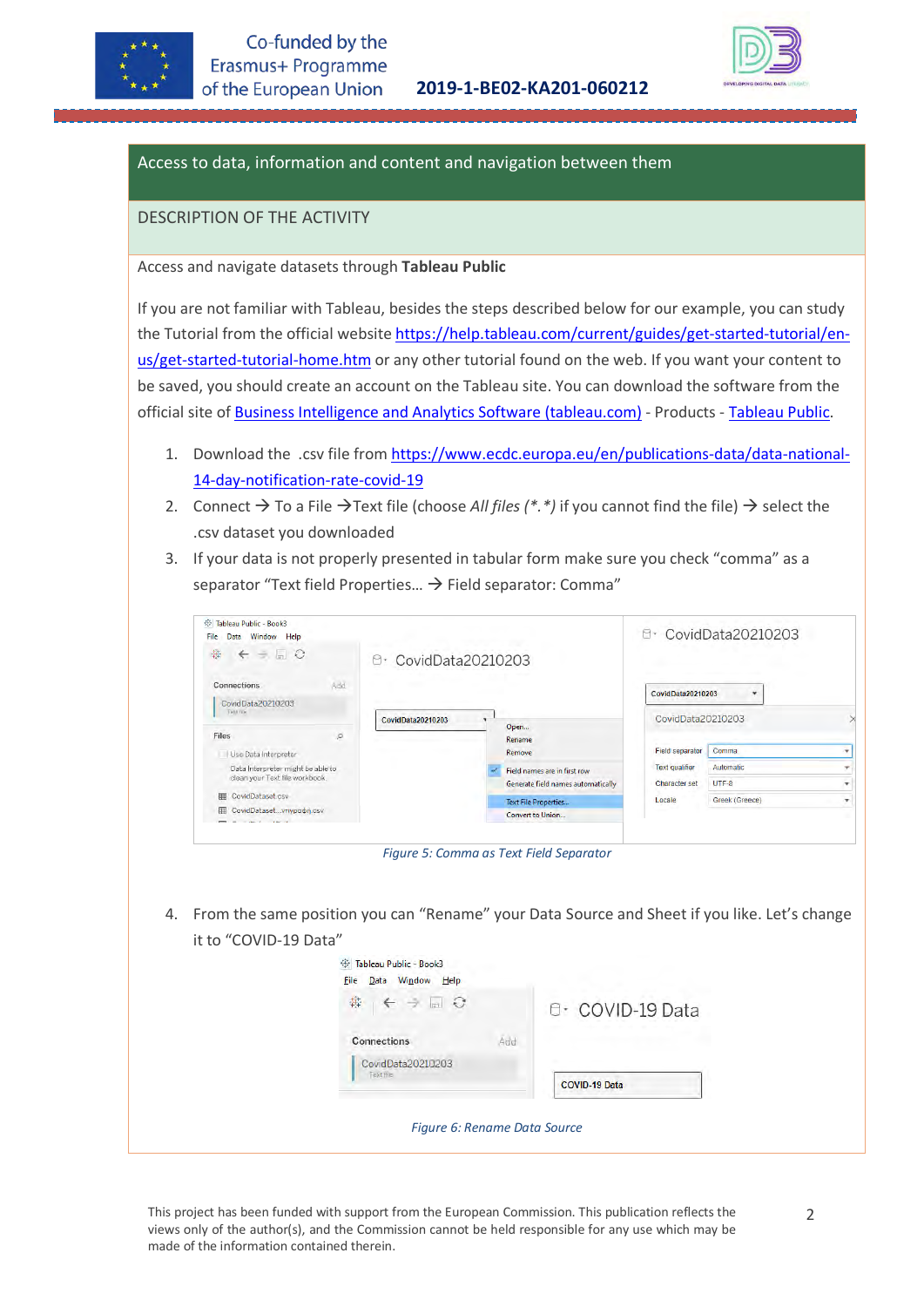



#### Access to data, information and content and navigation between them

#### DESCRIPTION OF THE ACTIVITY

Access and navigate datasets through **Tableau Public**

If you are not familiar with Tableau, besides the steps described below for our example, you can study the Tutorial from the official website [https://help.tableau.com/current/guides/get-started-tutorial/en](https://help.tableau.com/current/guides/get-started-tutorial/en-us/get-started-tutorial-home.htm)[us/get-started-tutorial-home.htm](https://help.tableau.com/current/guides/get-started-tutorial/en-us/get-started-tutorial-home.htm) or any other tutorial found on the web. If you want your content to be saved, you should create an account on the Tableau site. You can download the software from the official site of [Business Intelligence and Analytics Software \(tableau.com\)](https://www.tableau.com/) - Products - [Tableau Public.](https://www.tableau.com/products/public)

- 1. Download the .csv file from [https://www.ecdc.europa.eu/en/publications-data/data-national-](https://www.ecdc.europa.eu/en/publications-data/data-national-14-day-notification-rate-covid-19)[14-day-notification-rate-covid-19](https://www.ecdc.europa.eu/en/publications-data/data-national-14-day-notification-rate-covid-19)
- 2. Connect  $\rightarrow$  To a File  $\rightarrow$  Text file (choose *All files (\*.\*)* if you cannot find the file)  $\rightarrow$  select the .csv dataset you downloaded
- 3. If your data is not properly presented in tabular form make sure you check "comma" as a separator "Text field Properties...  $\rightarrow$  Field separator: Comma"

| ※ Tableau Public - Book3<br>Window Help<br>Data<br>File |                       |                                    |                                               | 0- CovidData20210203 |  |
|---------------------------------------------------------|-----------------------|------------------------------------|-----------------------------------------------|----------------------|--|
| 舞<br>$\leftarrow -\Box$ 0                               | 0 · CovidData20210203 |                                    |                                               |                      |  |
| Add<br><b>Connections</b>                               |                       |                                    | CovidData20210203                             | ۰                    |  |
| CovidData20210203<br>Text life                          |                       |                                    |                                               |                      |  |
|                                                         | CovidData20210203     | Open                               | CovidData20210203                             |                      |  |
| Files<br>$\Omega$                                       |                       | Rename                             |                                               |                      |  |
| Use Data Interpreter                                    |                       | Remove                             | Field separator                               | Comma                |  |
| Data Interpreter might be able to                       |                       | Field names are in first row       | <b>Text qualifier</b><br><b>Character set</b> | Automatic            |  |
| clean your Text file workbook.                          |                       | Generate field names automatically |                                               | $UTF-8$              |  |
| CovidDataset.csv<br>冊                                   |                       | <b>Text File Properties</b>        | Locale                                        | Greek (Greece)       |  |
| CovidDatasetvriypoon.csv<br>冊                           |                       | Convert to Union                   |                                               |                      |  |
| and the state of                                        |                       |                                    |                                               |                      |  |

*Figure 5: Comma as Text Field Separator*

4. From the same position you can "Rename" your Data Source and Sheet if you like. Let's change it to "COVID-19 Data"

| Tableau Public - Book3<br>登<br><b>File</b><br>Data Window Help |                                                 |
|----------------------------------------------------------------|-------------------------------------------------|
| $\leftarrow$ $\rightarrow$ $\rightarrow$ $\circ$<br>舞          | B · COVID-19 Data                               |
| Add<br>Connections<br>CovidData20210203<br>Text file           | the state the off case.<br><b>COVID-19 Data</b> |
| Figure 6: Rename Data Source                                   |                                                 |

This project has been funded with support from the European Commission. This publication reflects the views only of the author(s), and the Commission cannot be held responsible for any use which may be made of the information contained therein.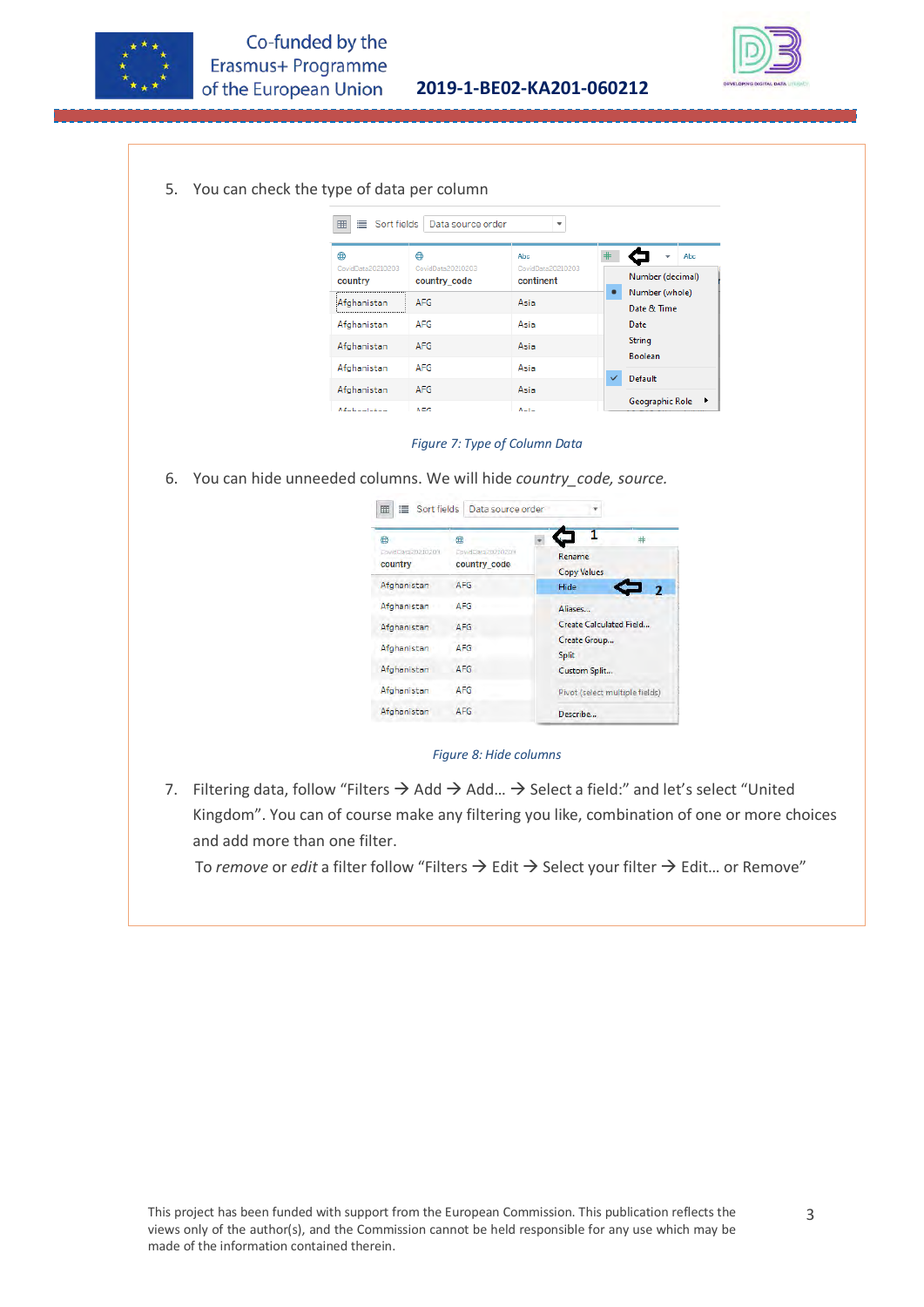

**2019-1-BE02-KA201-060212**



5. You can check the type of data per column

| ≡<br>Sort fields<br>賱        | Data source order                 | ÷                              |              |                                 |
|------------------------------|-----------------------------------|--------------------------------|--------------|---------------------------------|
| ⋒                            | ⋒                                 | Abc                            |              | Abc<br>$\overline{\phantom{a}}$ |
| CovidData20210203<br>country | CovidData20210203<br>country_code | CovidData20210203<br>continent |              | Number (decimal)                |
| Afghanistan<br>              | <b>AFG</b>                        | Asia                           | $\bullet$    | Number (whole)<br>Date & Time   |
| Afghanistan                  | AFG                               | Asia                           |              | Date                            |
| Afghanistan                  | <b>AFG</b>                        | Asia                           |              | <b>String</b><br><b>Boolean</b> |
| Afghanistan                  | <b>AFG</b>                        | Asia                           | $\checkmark$ | Default                         |
| Afghanistan                  | <b>AFG</b>                        | Asia                           |              |                                 |
| Afabentation                 | A E.C                             | $A = 1 -$                      |              | Geographic Role                 |

*Figure 7: Type of Column Data*

6. You can hide unneeded columns. We will hide *country\_code, source.*

| Sort fields<br>≣<br>囲            | Data source order                     |                                |
|----------------------------------|---------------------------------------|--------------------------------|
| ⊕<br>DowdDara20210203<br>country | ⊕<br>DowdData20210203<br>country code | Rename<br><b>Copy Values</b>   |
| Afghanistan                      | <b>AFG</b>                            | Hide                           |
| Afghanistan                      | <b>AFG</b>                            | Aliases                        |
| Afghanistan                      | <b>AFG</b>                            | <b>Create Calculated Field</b> |
| Afghanistan                      | <b>AFG</b>                            | Create Group<br><b>Split</b>   |
| Afghanistan                      | <b>AFG</b>                            | Custom Split                   |
| Afghanistan                      | <b>AFG</b>                            | Pivot (select multiple fields) |
| Afghanistan                      | <b>AFG</b>                            | Describe                       |

*Figure 8: Hide columns*

7. Filtering data, follow "Filters  $\rightarrow$  Add  $\rightarrow$  Add...  $\rightarrow$  Select a field:" and let's select "United Kingdom". You can of course make any filtering you like, combination of one or more choices and add more than one filter.

To *remove* or *edit* a filter follow "Filters  $\rightarrow$  Edit  $\rightarrow$  Select your filter  $\rightarrow$  Edit... or Remove"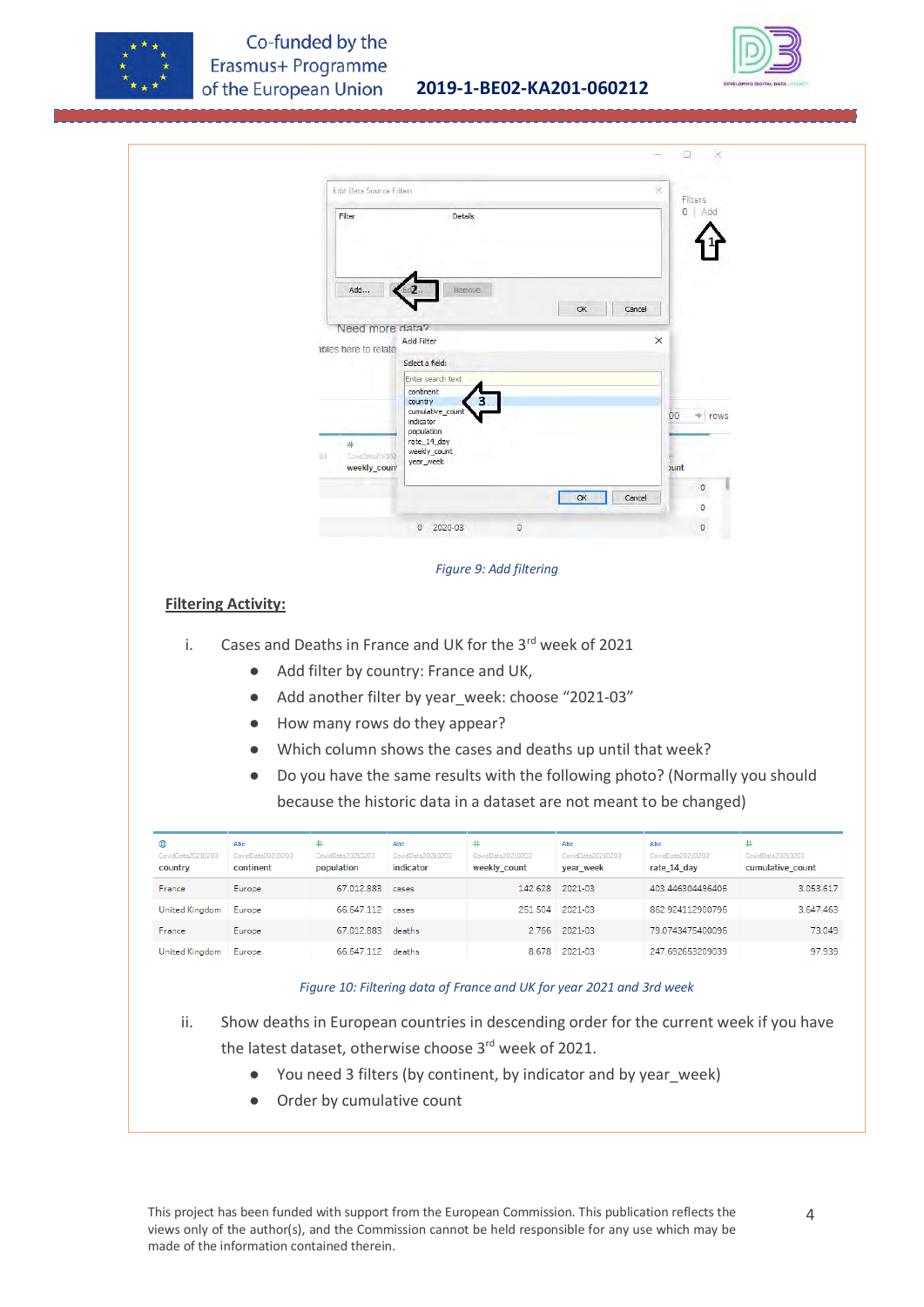



|                              |                                                  | Edit Data Source Filters              |                                |                                                             |                                | X<br>Filters                                                                                                                                       |                                       |
|------------------------------|--------------------------------------------------|---------------------------------------|--------------------------------|-------------------------------------------------------------|--------------------------------|----------------------------------------------------------------------------------------------------------------------------------------------------|---------------------------------------|
|                              |                                                  | Filter                                |                                | Details                                                     |                                | $0$ Add                                                                                                                                            |                                       |
|                              |                                                  |                                       |                                |                                                             |                                |                                                                                                                                                    |                                       |
|                              |                                                  | Add                                   |                                | Remove                                                      | OK                             | Cancel                                                                                                                                             |                                       |
|                              |                                                  | Need more data?                       |                                |                                                             |                                |                                                                                                                                                    |                                       |
|                              |                                                  | ables here to relate                  | <b>Add Filter</b>              |                                                             |                                | ×                                                                                                                                                  |                                       |
|                              |                                                  |                                       | Select a field:                |                                                             |                                |                                                                                                                                                    |                                       |
|                              |                                                  |                                       | Enter search text              |                                                             |                                |                                                                                                                                                    |                                       |
|                              |                                                  |                                       | continent                      |                                                             |                                |                                                                                                                                                    |                                       |
|                              |                                                  |                                       | country<br>cumulative_count    |                                                             |                                | 00<br>$\Rightarrow$ rows                                                                                                                           |                                       |
|                              |                                                  |                                       | indicator<br>population        |                                                             |                                |                                                                                                                                                    |                                       |
|                              |                                                  | $\ddot{}$                             | rate_14_day                    |                                                             |                                |                                                                                                                                                    |                                       |
|                              |                                                  | CondDeta202102                        | weekly_count<br>year_week      |                                                             |                                |                                                                                                                                                    |                                       |
|                              |                                                  | weekly_coun*                          |                                |                                                             |                                | <b>Junt</b>                                                                                                                                        |                                       |
|                              |                                                  |                                       |                                |                                                             | OK                             | ٥<br>Cancel                                                                                                                                        |                                       |
|                              |                                                  |                                       |                                |                                                             |                                | O                                                                                                                                                  |                                       |
|                              |                                                  |                                       | 2020-03<br>$\bullet$           | $\overline{0}$                                              |                                | ٥                                                                                                                                                  |                                       |
|                              |                                                  | Add filter by country: France and UK, |                                | Cases and Deaths in France and UK for the 3rd week of 2021  |                                |                                                                                                                                                    |                                       |
| i.                           | $\bullet$<br>$\bullet$<br>$\bullet$<br>$\bullet$ | How many rows do they appear?         |                                | Add another filter by year_week: choose "2021-03"           |                                |                                                                                                                                                    |                                       |
|                              | $\bullet$                                        |                                       |                                | Which column shows the cases and deaths up until that week? |                                | Do you have the same results with the following photo? (Normally you should<br>because the historic data in a dataset are not meant to be changed) |                                       |
| ⊕                            | Abc                                              | $\ast$                                | Abc                            | #                                                           | Abc                            | Abc                                                                                                                                                |                                       |
| CovidData20210203<br>country | CovidData20210203<br>continent                   | CovidData20210203<br>population       | CovidData20210203<br>indicator | CovidData20210203<br>weekly_count                           | CovidData20210203<br>year_week | CovidData20210203<br>rate_14_day                                                                                                                   | CovidData20210203<br>cumulative_count |
| France                       | Europe                                           | 67.012.883 cases                      |                                | 142.628                                                     | 2021-03                        | 403.446304496406                                                                                                                                   |                                       |
| United Kingdom               | Europe                                           | 66.647.112 cases                      |                                | 251.504                                                     | 2021-03                        | 862.924112900796                                                                                                                                   |                                       |
|                              |                                                  | 67.012.883 deaths                     |                                |                                                             |                                | 79.0743475400096                                                                                                                                   | 3.053.617<br>3.647.463                |
| France<br>United Kingdom     | Europe<br>Europe                                 | 66.647.112 deaths                     |                                |                                                             | 2.766 2021-03<br>8.678 2021-03 | 247.692653209039                                                                                                                                   | 73.049<br>97.939                      |

- ii. Show deaths in European countries in descending order for the current week if you have
	- the latest dataset, otherwise choose 3<sup>rd</sup> week of 2021.
		- You need 3 filters (by continent, by indicator and by year\_week)
		- Order by cumulative count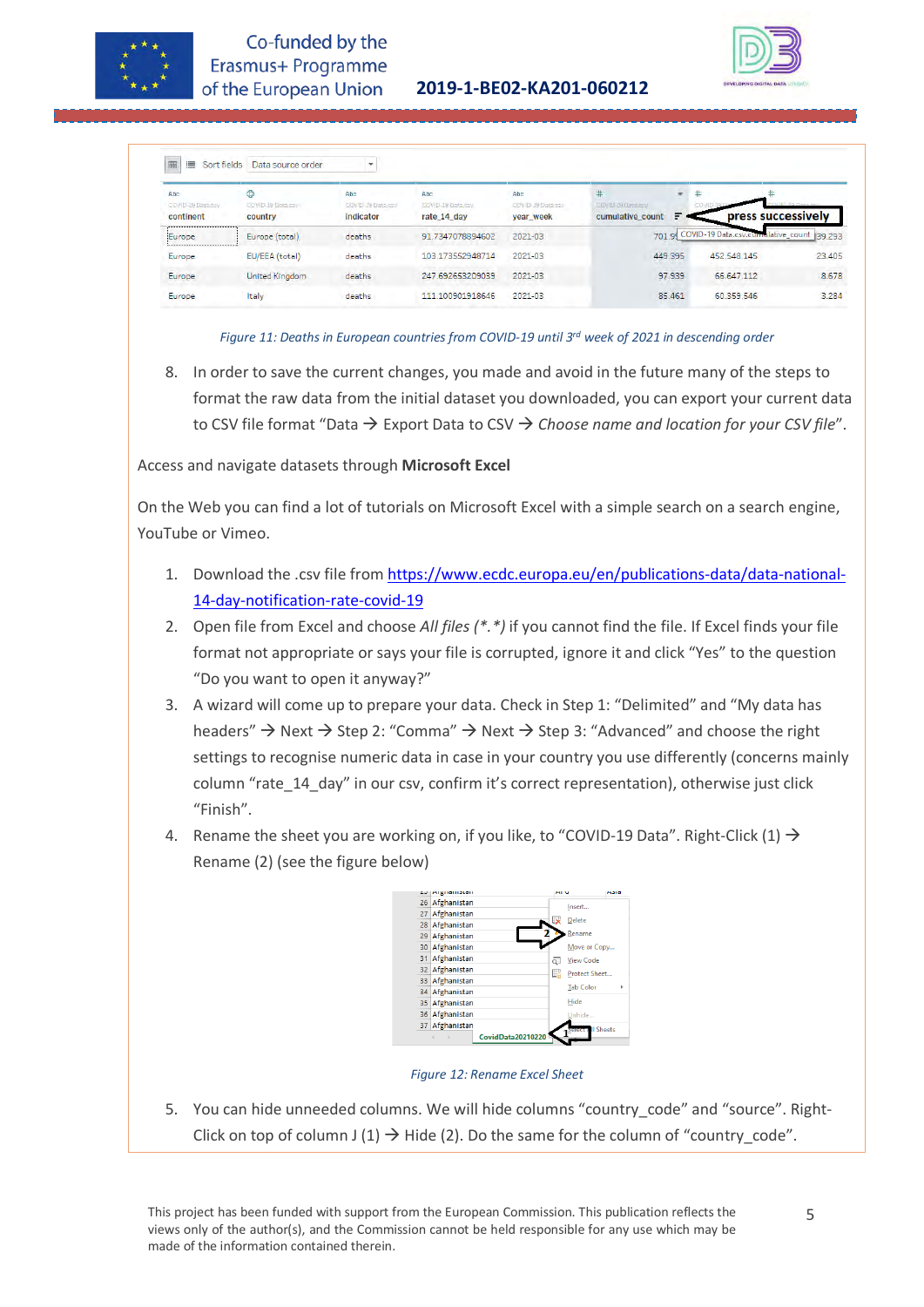



| 囲<br>這<br>Sort fields                  | Data source order                 | ٠                                     |                                          |                                              |                                                    |                         |             |                                           |
|----------------------------------------|-----------------------------------|---------------------------------------|------------------------------------------|----------------------------------------------|----------------------------------------------------|-------------------------|-------------|-------------------------------------------|
| Abc<br>COVID-39 Data.bsv.<br>continent | ⊕<br>COVID-19 Data cov<br>country | Abc<br>COVID-19 Data.csv<br>indicator | Abc.<br>DOVID-19 Data.csv<br>rate 14 day | Abc<br><b>COVID-19 Data.csv</b><br>year week | $\ast$<br><b>VER MEDIATION</b><br>cumulative count | #<br>$\rightarrow$<br>Ξ |             | press successively                        |
| Europe                                 | Europe (total)                    | deaths                                | 91.7347078894602                         | 2021-03                                      | 701.99                                             |                         |             | COVID-19 Data.csv.cumulative_count 39 293 |
| Europe                                 | EU/EEA (total)                    | deaths                                | 103.173552948714                         | 2021-03                                      | 449.395                                            |                         | 452,548,145 | 23,405                                    |
| Europe                                 | United Kingdom                    | deaths                                | 247.692653209039                         | 2021-03                                      | 97.939                                             |                         | 66.647.112  | 8.678                                     |
| Europe                                 | Italy                             | deaths                                | 111.100901918646                         | 2021-03                                      | 85.461                                             |                         | 60.359.546  | 3.284                                     |



8. In order to save the current changes, you made and avoid in the future many of the steps to format the raw data from the initial dataset you downloaded, you can export your current data to CSV file format "Data Export Data to CSV *Choose name and location for your CSV file*".

Access and navigate datasets through **Microsoft Excel**

On the Web you can find a lot of tutorials on Microsoft Excel with a simple search on a search engine, YouTube or Vimeo.

- 1. Download the .csv file from [https://www.ecdc.europa.eu/en/publications-data/data-national-](https://www.ecdc.europa.eu/en/publications-data/data-national-14-day-notification-rate-covid-19)[14-day-notification-rate-covid-19](https://www.ecdc.europa.eu/en/publications-data/data-national-14-day-notification-rate-covid-19)
- 2. Open file from Excel and choose *All files (\*.\*)* if you cannot find the file. If Excel finds your file format not appropriate or says your file is corrupted, ignore it and click "Yes" to the question "Do you want to open it anyway?"
- 3. A wizard will come up to prepare your data. Check in Step 1: "Delimited" and "My data has headers"  $\rightarrow$  Next  $\rightarrow$  Step 2: "Comma"  $\rightarrow$  Next  $\rightarrow$  Step 3: "Advanced" and choose the right settings to recognise numeric data in case in your country you use differently (concerns mainly column "rate\_14\_day" in our csv, confirm it's correct representation), otherwise just click "Finish".
- 4. Rename the sheet you are working on, if you like, to "COVID-19 Data". Right-Click  $(1) \rightarrow$ Rename (2) (see the figure below)



*Figure 12: Rename Excel Sheet*

5. You can hide unneeded columns. We will hide columns "country\_code" and "source". Right-Click on top of column J (1)  $\rightarrow$  Hide (2). Do the same for the column of "country\_code".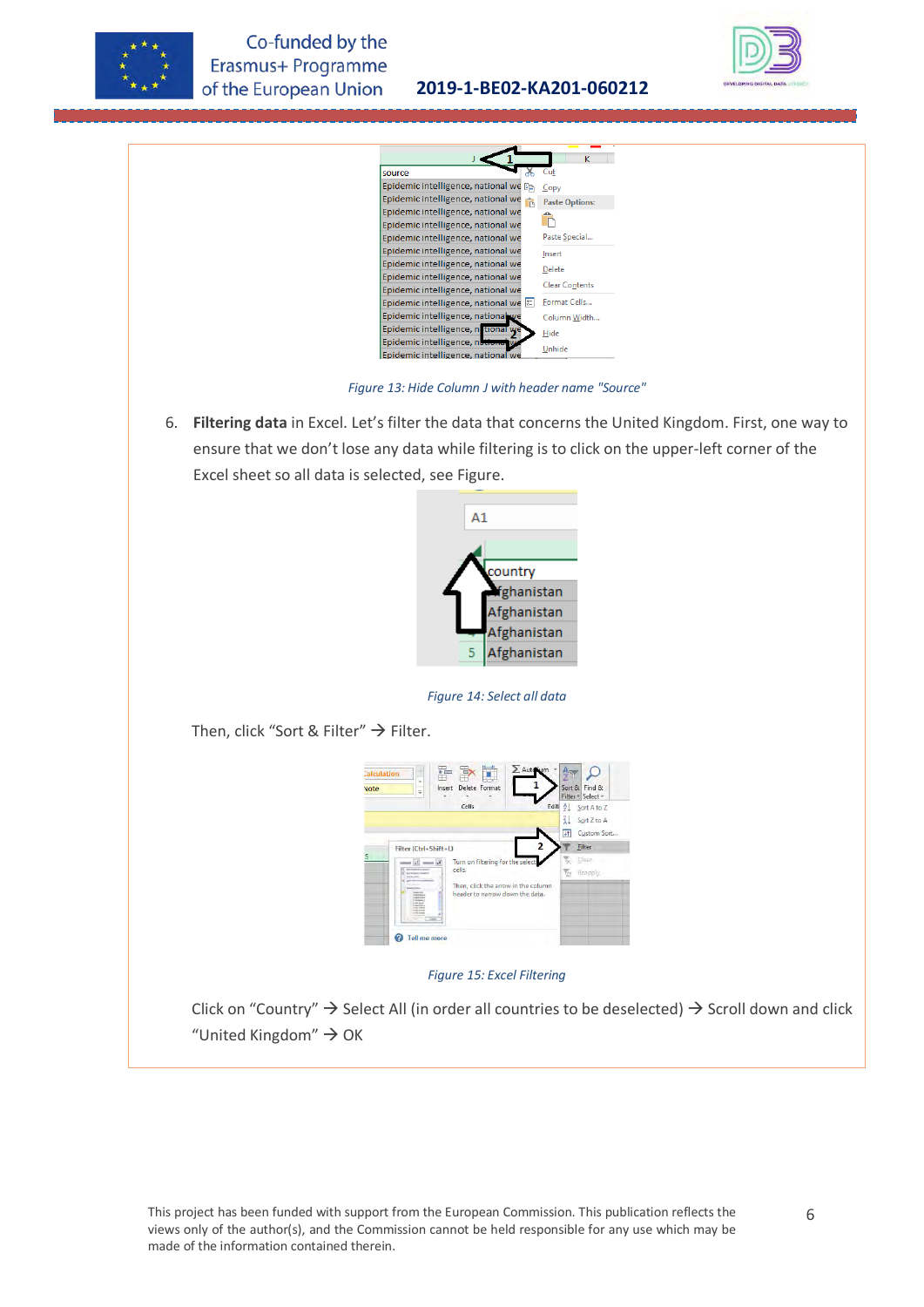



**2019-1-BE02-KA201-060212**

*Figure 13: Hide Column J with header name "Source"*

6. **Filtering data** in Excel. Let's filter the data that concerns the United Kingdom. First, one way to ensure that we don't lose any data while filtering is to click on the upper-left corner of the Excel sheet so all data is selected, see Figure.



*Figure 14: Select all data*

Then, click "Sort & Filter"  $\rightarrow$  Filter.



*Figure 15: Excel Filtering*

Click on "Country"  $\rightarrow$  Select All (in order all countries to be deselected)  $\rightarrow$  Scroll down and click "United Kingdom"  $\rightarrow$  OK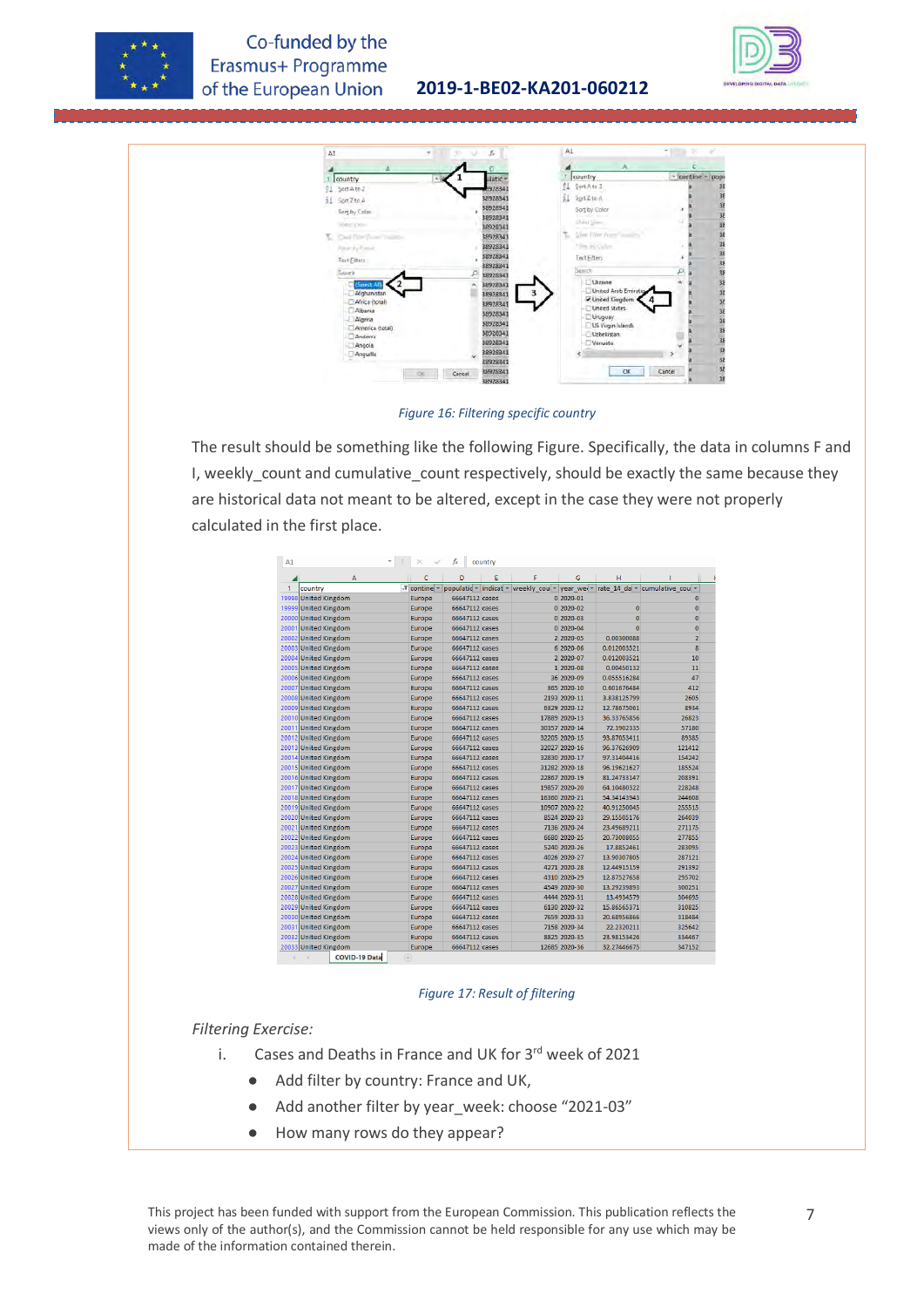

### Co-funded by the Erasmus+ Programme of the European Union

#### **2019-1-BE02-KA201-060212**





*Figure 16: Filtering specific country*

The result should be something like the following Figure. Specifically, the data in columns F and I, weekly\_count and cumulative\_count respectively, should be exactly the same because they are historical data not meant to be altered, except in the case they were not properly calculated in the first place.

| A1    |                       | $\times$                              | fx                   | country |                         |               |                           |                         |
|-------|-----------------------|---------------------------------------|----------------------|---------|-------------------------|---------------|---------------------------|-------------------------|
|       | А                     | Ċ                                     | D                    | E       |                         | G             | H                         |                         |
| 1     | country               | $\overline{r}$ contine $\overline{r}$ | populatic vindicat v |         | weekly cou v year wei v |               | rate 14 da $\overline{ }$ | cumulative cou          |
|       | 19998 United Kingdom  | Europe                                | 66647112 cases       |         |                         | 0 2020-01     |                           | 0                       |
| 19999 | <b>United Kingdom</b> | Europe                                | 66647112 cases       |         |                         | 0 2020-02     | $\mathbf{0}$              | $\bf{0}$                |
| 20000 | <b>United Kingdom</b> | Europe                                | 66647112 cases       |         |                         | $02020 - 03$  | $\mathbf{0}$              | $\bf{0}$                |
| 2000  | <b>United Kingdom</b> | Europe                                | 66647112 cases       |         |                         | $02020 - 04$  | $\mathbf{0}$              | $\overline{0}$          |
| 20002 | <b>United Kingdom</b> | Europe                                | 66647112 cases       |         |                         | 2 2020-05     | 0.00300088                | $\overline{2}$          |
| 20003 | <b>United Kingdom</b> | Europe                                | 66647112 cases       |         |                         | 6 2020-06     | 0.012003521               | $\overline{\mathbf{8}}$ |
| 20004 | <b>United Kingdom</b> | Europe                                | 66647112 cases       |         |                         | 2 2020-07     | 0.012003521               | 10                      |
| 20005 | <b>United Kingdom</b> | Europe                                | 66647112 cases       |         |                         | 1 2020-08     | 0.00450132                | 11                      |
|       | 20006 United Kingdom  | Europe                                | 66647112 cases       |         |                         | 36 2020-09    | 0.055516284               | 47                      |
| 20007 | <b>United Kingdom</b> | Europe                                | 66647112 cases       |         |                         | 365 2020-10   | 0.601676484               | 412                     |
| 20008 | <b>United Kingdom</b> | Europe                                | 66647112 cases       |         |                         | 2193 2020-11  | 3.838125799               | 2605                    |
| 20009 | <b>United Kingdom</b> | Europe                                | 66647112 cases       |         |                         | 6329 2020-12  | 12.78675061               | 8934                    |
|       | 20010 United Kingdom  | Europe                                | 66647112 cases       |         |                         | 17889 2020-13 | 36.33765856               | 26823                   |
| 20011 | <b>United Kingdom</b> | Europe                                | 66647112 cases       |         |                         | 30357 2020-14 | 72.3902335                | 57180                   |
|       | 20012 United Kingdom  | Europe                                | 66647112 cases       |         |                         | 32205 2020-15 | 93.87053411               | 89385                   |
| 20013 | <b>United Kingdom</b> | Europe                                | 66647112 cases       |         |                         | 32027 2020-16 | 96.37626909               | 121412                  |
| 20014 | <b>United Kingdom</b> | Europe                                | 66647112 cases       |         |                         | 32830 2020-17 | 97.31404416               | 154242                  |
| 20015 | <b>United Kingdom</b> | Europe                                | 66647112 cases       |         |                         | 31282 2020-18 | 96.19621627               | 185524                  |
|       | 20016 United Kingdom  | Europe                                | 66647112 cases       |         |                         | 22867 2020-19 | 81.24733147               | 208391                  |
| 20017 | <b>United Kingdom</b> | <b>Europe</b>                         | 66647112 cases       |         |                         | 19857 2020-20 | 64.10480322               | 228248                  |
| 20018 | <b>United Kingdom</b> | Europe                                | 66647112 cases       |         |                         | 16360 2020-21 | 54.34143943               | 244608                  |
|       | 20019 United Kingdom  | Europe                                | 66647112 cases       |         |                         | 10907 2020-22 | 40.91250045               | 255515                  |
|       | 20020 United Kingdom  | Europe                                | 66647112 cases       |         |                         | 8524 2020-23  | 29.15505176               | 264039                  |
| 20021 | <b>United Kingdom</b> | Europe                                | 66647112 cases       |         |                         | 7136 2020-24  | 23.49689211               | 271175                  |
| 20022 | <b>United Kingdom</b> | Europe                                | 66647112 cases       |         |                         | 6680 2020-25  | 20.73008055               | 277855                  |
| 20023 | <b>United Kingdom</b> | Europe                                | 66647112 cases       |         |                         | 5240 2020-26  | 17.8852461                | 283095                  |
| 20024 | <b>United Kingdom</b> | Europe                                | 66647112 cases       |         |                         | 4026 2020-27  | 13.90307805               | 287121                  |
| 20025 | <b>United Kingdom</b> | Europe                                | 66647112 cases       |         |                         | 4271 2020-28  | 12.44915159               | 291392                  |
|       | 20026 United Kingdom  | Europe                                | 66647112 cases       |         |                         | 4310 2020-29  | 12.87527658               | 295702                  |
| 20027 | <b>United Kingdom</b> | Europe                                | 66647112 cases       |         |                         | 4549 2020-30  | 13.29239893               | 300251                  |
| 20028 | <b>United Kingdom</b> | Europe                                | 66647112 cases       |         |                         | 4444 2020-31  | 13.4934579                | 304695                  |
| 20029 | <b>United Kingdom</b> | Europe                                | 66647112 cases       |         |                         | 6130 2020-32  | 15.86565371               | 310825                  |
| 20030 | <b>United Kingdom</b> | Europe                                | 66647112 cases       |         |                         | 7659 2020-33  | 20.68956866               | 318484                  |
| 20031 | <b>United Kingdom</b> | Europe                                | 66647112 cases       |         |                         | 7158 2020-34  | 22.2320211                | 325642                  |
| 20032 | <b>United Kingdom</b> | Europe                                | 66647112 cases       |         |                         | 8825 2020-35  | 23.98153426               | 334467                  |
|       | 20033 United Kingdom  | Europe                                | 66647112 cases       |         |                         | 12685 2020-36 | 32.27446675               | 347152                  |

#### *Figure 17: Result of filtering*

#### *Filtering Exercise:*

- i. Cases and Deaths in France and UK for  $3<sup>rd</sup>$  week of 2021
	- Add filter by country: France and UK,
	- Add another filter by year\_week: choose "2021-03"
	- How many rows do they appear?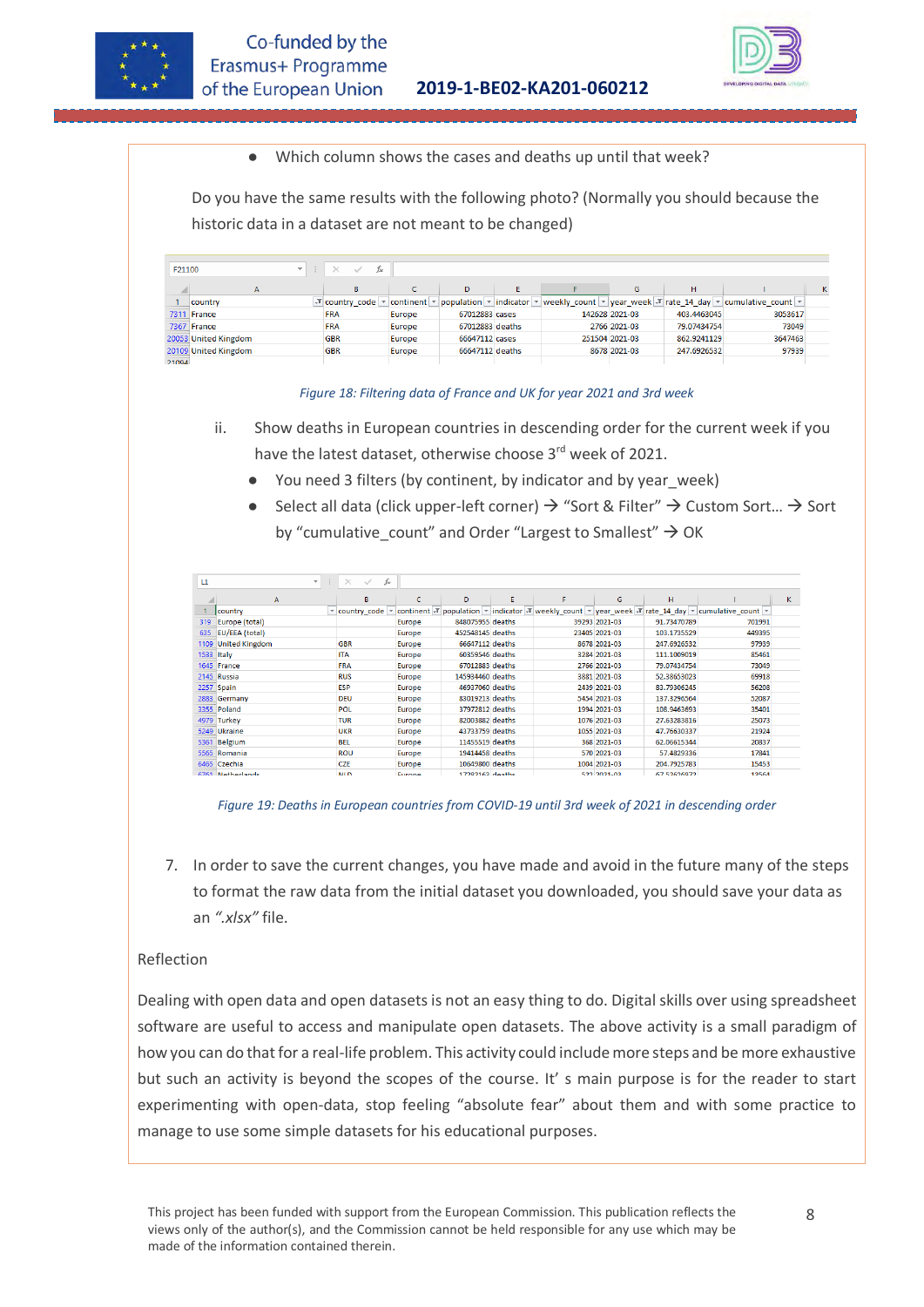



Which column shows the cases and deaths up until that week?

Do you have the same results with the following photo? (Normally you should because the historic data in a dataset are not meant to be changed)

| F21100 | <b>A</b><br>$\mathbf{v}$ | fx<br>$\times$<br>$\sim$ |        |                 |   |                |             |                                                                                                                                                                                                    |   |
|--------|--------------------------|--------------------------|--------|-----------------|---|----------------|-------------|----------------------------------------------------------------------------------------------------------------------------------------------------------------------------------------------------|---|
|        | А                        | B                        |        | D.              | Е | G              | н           |                                                                                                                                                                                                    | κ |
|        | country                  |                          |        |                 |   |                |             | $\sqrt{x}$ country code $\sqrt{x}$ continent $\sqrt{x}$ population $\sqrt{x}$ indicator $\sqrt{x}$ weekly count $\sqrt{x}$ year week $\sqrt{x}$ rate 14 day $\sqrt{x}$ cumulative count $\sqrt{x}$ |   |
|        | 7311 France              | <b>FRA</b>               | Europe | 67012883 cases  |   | 142628 2021-03 | 403.4463045 | 3053617                                                                                                                                                                                            |   |
|        | 7367 France              | <b>FRA</b>               | Europe | 67012883 deaths |   | 2766 2021-03   | 79.07434754 | 73049                                                                                                                                                                                              |   |
|        | 20053 United Kingdom     | <b>GBR</b>               | Europe | 66647112 cases  |   | 251504 2021-03 | 862.9241129 | 3647463                                                                                                                                                                                            |   |
|        | 20109 United Kingdom     | <b>GBR</b>               | Europe | 66647112 deaths |   | 8678 2021-03   | 247.6926532 | 97939                                                                                                                                                                                              |   |
| 21094  |                          |                          |        |                 |   |                |             |                                                                                                                                                                                                    |   |

*Figure 18: Filtering data of France and UK for year 2021 and 3rd week*

- ii. Show deaths in European countries in descending order for the current week if you have the latest dataset, otherwise choose 3<sup>rd</sup> week of 2021.
	- You need 3 filters (by continent, by indicator and by year week)
	- Select all data (click upper-left corner)  $\rightarrow$  "Sort & Filter"  $\rightarrow$  Custom Sort...  $\rightarrow$  Sort by "cumulative count" and Order "Largest to Smallest"  $\rightarrow$  OK

| L1   | $\mathbf{v}$            | fx<br>$\times$<br>$\checkmark$ |               |                   |    |                    |                    |                                                                                                                                                       |   |
|------|-------------------------|--------------------------------|---------------|-------------------|----|--------------------|--------------------|-------------------------------------------------------------------------------------------------------------------------------------------------------|---|
|      | A                       | B                              | C             | D                 | E. | G                  | H                  |                                                                                                                                                       | K |
|      | country                 |                                |               |                   |    |                    |                    | v country code v continent $\mathcal{F}$ population v indicator $\mathcal{F}$ weekly count v year week $\mathcal{F}$ rate 14 day v cumulative count v |   |
| 319  | Europe (total)          |                                | <b>Europe</b> | 848075955 deaths  |    | 39293 2021-03      | 91.73470789        | 701991                                                                                                                                                |   |
| 635  | EU/EEA (total)          |                                | <b>Europe</b> | 452548145 deaths  |    | 23405 2021-03      | 103.1735529        | 449395                                                                                                                                                |   |
| 1109 | <b>United Kingdom</b>   | <b>GBR</b>                     | Europe        | 66647112 deaths   |    | 8678 2021-03       | 247.6926532        | 97939                                                                                                                                                 |   |
| 1533 | Italy                   | <b>ITA</b>                     | Europe        | 60359546 deaths   |    | 3284 2021-03       | 111.1009019        | 85461                                                                                                                                                 |   |
|      | 1645 France             | <b>FRA</b>                     | Europe        | 67012883 deaths   |    | 2766 2021-03       | 79.07434754        | 73049                                                                                                                                                 |   |
|      | 2145 Russia             | <b>RUS</b>                     | <b>Europe</b> | 145934460 deaths  |    | 3881 2021-03       | 52.38653023        | 69918                                                                                                                                                 |   |
| 2257 | Spain                   | <b>ESP</b>                     | <b>Europe</b> | 46937060 deaths   |    | 2439 2021-03       | 83.79306245        | 56208                                                                                                                                                 |   |
|      | 2883 Germany            | <b>DEU</b>                     | Europe        | 83019213 deaths   |    | 5454 2021-03       | 137.3296564        | 52087                                                                                                                                                 |   |
|      | 3355 Poland             | <b>POL</b>                     | Europe        | 37972812 deaths   |    | 1994 2021-03       | 108.9463693        | 35401                                                                                                                                                 |   |
|      | 4979 Turkey             | <b>TUR</b>                     | Europe        | 82003882 deaths   |    | 1076 2021-03       | 27.63283816        | 25073                                                                                                                                                 |   |
| 5249 | <b>Ukraine</b>          | <b>UKR</b>                     | <b>Europe</b> | 43733759 deaths   |    | 1055 2021-03       | 47.76630337        | 21924                                                                                                                                                 |   |
| 5361 | <b>Belgium</b>          | <b>BEL</b>                     | <b>Europe</b> | 11455519 deaths   |    | 368 2021-03        | 62.06615344        | 20837                                                                                                                                                 |   |
|      | 5565 Romania            | <b>ROU</b>                     | <b>Europe</b> | 19414458 deaths   |    | 570 2021-03        | 57.4829336         | 17841                                                                                                                                                 |   |
|      | 6465 Czechia            | CZE                            | Europe        | 10649800 deaths   |    | 1004 2021-03       | 204.7925783        | 15453                                                                                                                                                 |   |
|      | <b>C7C1 Notherlands</b> | <b>MILITY</b>                  | Europe        | $17202162$ deaths |    | <b>EDD 2001 02</b> | <b>CZ ENCACOZN</b> | <b>1DECA</b>                                                                                                                                          |   |

*Figure 19: Deaths in European countries from COVID-19 until 3rd week of 2021 in descending order*

7. In order to save the current changes, you have made and avoid in the future many of the steps to format the raw data from the initial dataset you downloaded, you should save your data as an *".xlsx"* file.

#### Reflection

Dealing with open data and open datasets is not an easy thing to do. Digital skills over using spreadsheet software are useful to access and manipulate open datasets. The above activity is a small paradigm of how you can do that for a real-life problem. This activity could include more steps and be more exhaustive but such an activity is beyond the scopes of the course. It' s main purpose is for the reader to start experimenting with open-data, stop feeling "absolute fear" about them and with some practice to manage to use some simple datasets for his educational purposes.